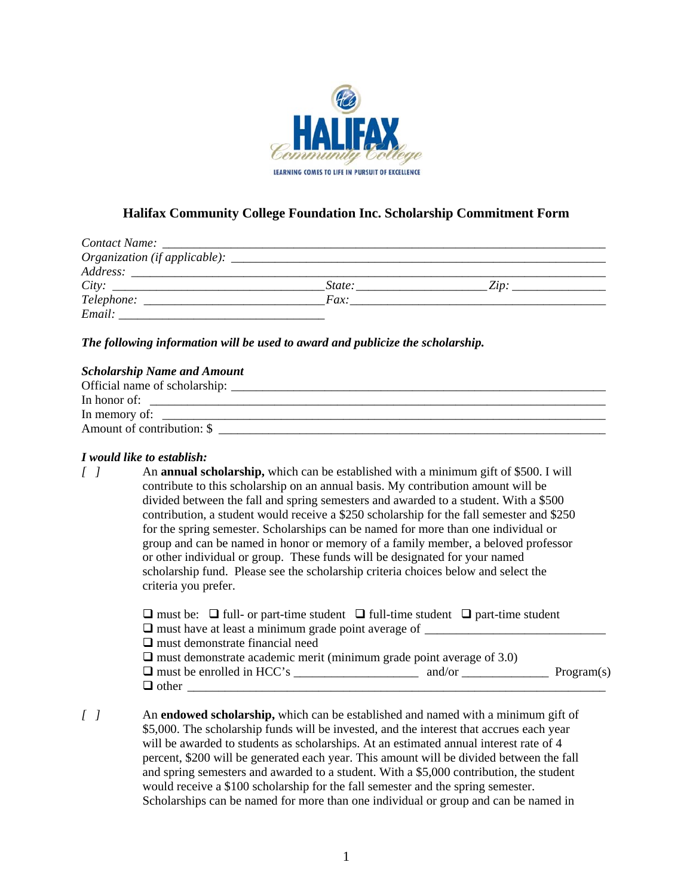

# **Halifax Community College Foundation Inc. Scholarship Commitment Form**

| Contact Name:                                    |             |                 |
|--------------------------------------------------|-------------|-----------------|
| Organization (if applicable): __________________ |             |                 |
| Address:                                         |             |                 |
| City:                                            | State:      | $\mathcal{L}$ m |
| Telephone:                                       | <i>Fax:</i> |                 |
| Email:                                           |             |                 |

## *The following information will be used to award and publicize the scholarship.*

| <b>Scholarship Name and Amount</b> |
|------------------------------------|
|                                    |
| In honor of:                       |
|                                    |
| Amount of contribution: \$         |

### *I would like to establish:*

| I i | An <b>annual scholarship</b> , which can be established with a minimum gift of \$500. I will |
|-----|----------------------------------------------------------------------------------------------|
|     | contribute to this scholarship on an annual basis. My contribution amount will be            |
|     | divided between the fall and spring semesters and awarded to a student. With a \$500         |
|     | contribution, a student would receive a \$250 scholarship for the fall semester and \$250    |
|     | for the spring semester. Scholarships can be named for more than one individual or           |
|     | group and can be named in honor or memory of a family member, a beloved professor            |
|     | or other individual or group. These funds will be designated for your named                  |
|     | scholarship fund. Please see the scholarship criteria choices below and select the           |
|     | criteria you prefer.                                                                         |
|     |                                                                                              |

| $\Box$ must be: $\Box$ full- or part-time student $\Box$ full-time student $\Box$ part-time student |            |
|-----------------------------------------------------------------------------------------------------|------------|
|                                                                                                     |            |
| $\Box$ must demonstrate financial need                                                              |            |
| $\Box$ must demonstrate academic merit (minimum grade point average of 3.0)                         |            |
| and/or                                                                                              | Program(s) |
| $\Box$ other                                                                                        |            |

| [ ] | An <b>endowed scholarship</b> , which can be established and named with a minimum gift of |
|-----|-------------------------------------------------------------------------------------------|
|     | \$5,000. The scholarship funds will be invested, and the interest that accrues each year  |
|     | will be awarded to students as scholarships. At an estimated annual interest rate of 4    |
|     | percent, \$200 will be generated each year. This amount will be divided between the fall  |
|     | and spring semesters and awarded to a student. With a \$5,000 contribution, the student   |
|     | would receive a \$100 scholarship for the fall semester and the spring semester.          |
|     | Scholarships can be named for more than one individual or group and can be named in       |